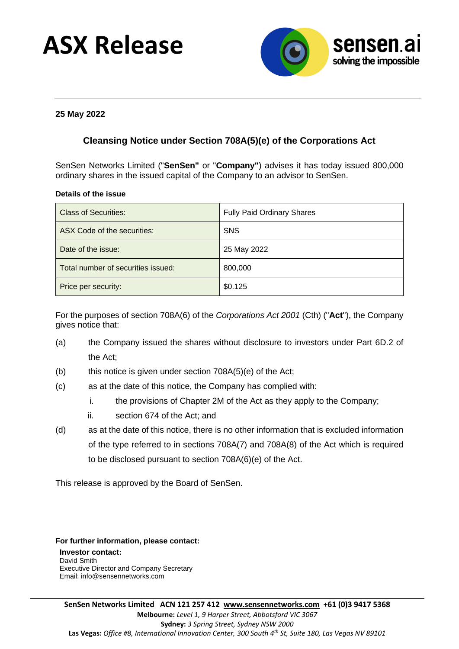# **ASX Release**



### **25 May 2022**

## **Cleansing Notice under Section 708A(5)(e) of the Corporations Act**

SenSen Networks Limited ("**SenSen"** or "**Company"**) advises it has today issued 800,000 ordinary shares in the issued capital of the Company to an advisor to SenSen.

### **Details of the issue**

| <b>Class of Securities:</b>        | <b>Fully Paid Ordinary Shares</b> |
|------------------------------------|-----------------------------------|
| ASX Code of the securities:        | <b>SNS</b>                        |
| Date of the issue:                 | 25 May 2022                       |
| Total number of securities issued: | 800,000                           |
| Price per security:                | \$0.125                           |

For the purposes of section 708A(6) of the *Corporations Act 2001* (Cth) ("**Act**"), the Company gives notice that:

- (a) the Company issued the shares without disclosure to investors under Part 6D.2 of the Act;
- (b) this notice is given under section 708A(5)(e) of the Act;
- (c) as at the date of this notice, the Company has complied with:
	- i. the provisions of Chapter 2M of the Act as they apply to the Company;
	- ii. section 674 of the Act; and
- (d) as at the date of this notice, there is no other information that is excluded information of the type referred to in sections 708A(7) and 708A(8) of the Act which is required to be disclosed pursuant to section 708A(6)(e) of the Act.

This release is approved by the Board of SenSen.

**For further information, please contact: Investor contact:** David Smith Executive Director and Company Secretary Email: [info@sensennetworks.com](mailto:info@sensennetworks.com)